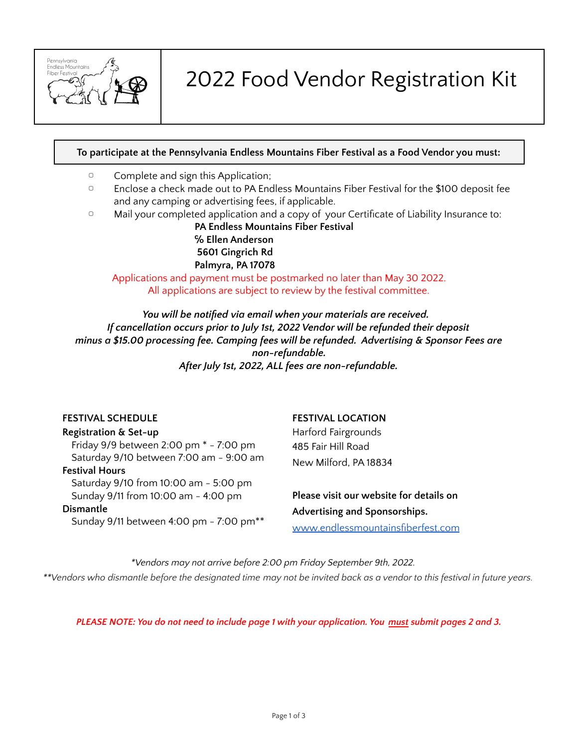

# 2022 Food Vendor Registration Kit

## **To participate at the Pennsylvania Endless Mountains Fiber Festival as a Food Vendor you must:**

- ▢ Complete and sign this Application;
- ▢ Enclose a check made out to PA Endless Mountains Fiber Festival for the \$100 deposit fee and any camping or advertising fees, if applicable.
- ▢ Mail your completed application and a copy of your Certificate of Liability Insurance to:

# **PA Endless Mountains Fiber Festival ℅ Ellen Anderson 5601 Gingrich Rd Palmyra, PA 17078**

Applications and payment must be postmarked no later than May 30 2022. All applications are subject to review by the festival committee.

*You will be notified via email when your materials are received. If cancellation occurs prior to July 1st, 2022 Vendor will be refunded their deposit minus a \$15.00 processing fee. Camping fees will be refunded. Advertising & Sponsor Fees are non-refundable. After July 1st, 2022, ALL fees are non-refundable.*

# **FESTIVAL SCHEDULE**

## **Registration & Set-up** Friday 9/9 between 2:00 pm \* - 7:00 pm Saturday 9/10 between 7:00 am - 9:00 am **Festival Hours**

Saturday 9/10 from 10:00 am - 5:00 pm Sunday 9/11 from 10:00 am - 4:00 pm

## **Dismantle**

Sunday 9/11 between 4:00 pm - 7:00 pm\*\*

# **FESTIVAL LOCATION**

Harford Fairgrounds 485 Fair Hill Road New Milford, PA 18834

# **Please visit our website for details on Advertising and Sponsorships.**

[www.endlessmountainsfiberfest.com](http://www.endlessmountainsfiberfest.com)

*\*Vendors may not arrive before 2:00 pm Friday September 9th, 2022.* \*\*Vendors who dismantle before the designated time may not be invited back as a vendor to this festival in future years.

PLEASE NOTE: You do not need to include page 1 with your application. You must submit pages 2 and 3.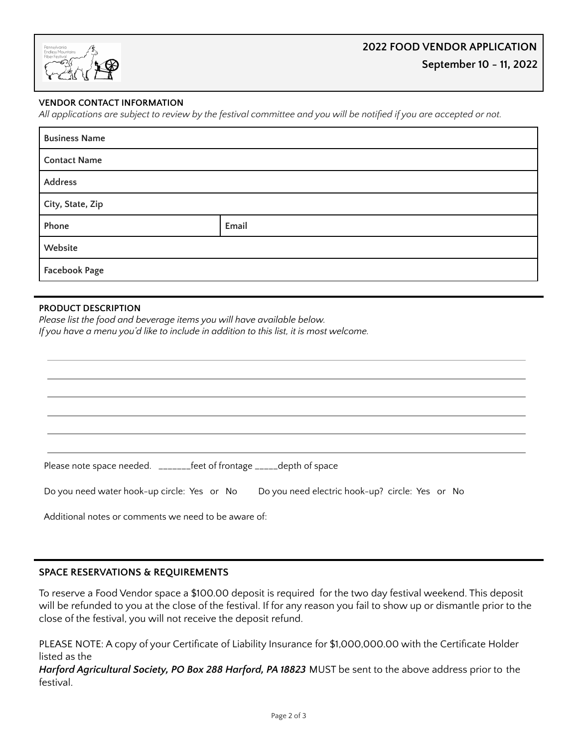

### **VENDOR CONTACT INFORMATION**

All applications are subject to review by the festival committee and you will be notified if you are accepted or not.

| <b>Business Name</b> |       |  |
|----------------------|-------|--|
| <b>Contact Name</b>  |       |  |
| Address              |       |  |
| City, State, Zip     |       |  |
| Phone                | Email |  |
| Website              |       |  |
| <b>Facebook Page</b> |       |  |

### **PRODUCT DESCRIPTION**

*Please list the food and beverage items you will have available below. If you have a menu you'd like to include in addition to this list, it is most welcome.*

Please note space needed. \_\_\_\_\_\_\_feet of frontage \_\_\_\_\_depth of space

Do you need water hook-up circle: Yes or No Do you need electric hook-up? circle: Yes or No

Additional notes or comments we need to be aware of:

#### **SPACE RESERVATIONS & REQUIREMENTS**

To reserve a Food Vendor space a \$100.00 deposit is required for the two day festival weekend. This deposit will be refunded to you at the close of the festival. If for any reason you fail to show up or dismantle prior to the close of the festival, you will not receive the deposit refund.

PLEASE NOTE: A copy of your Certificate of Liability Insurance for \$1,000,000.00 with the Certificate Holder listed as the

*Harford Agricultural Society, PO Box 288 Harford, PA 18823* MUST be sent to the above address prior to the festival.